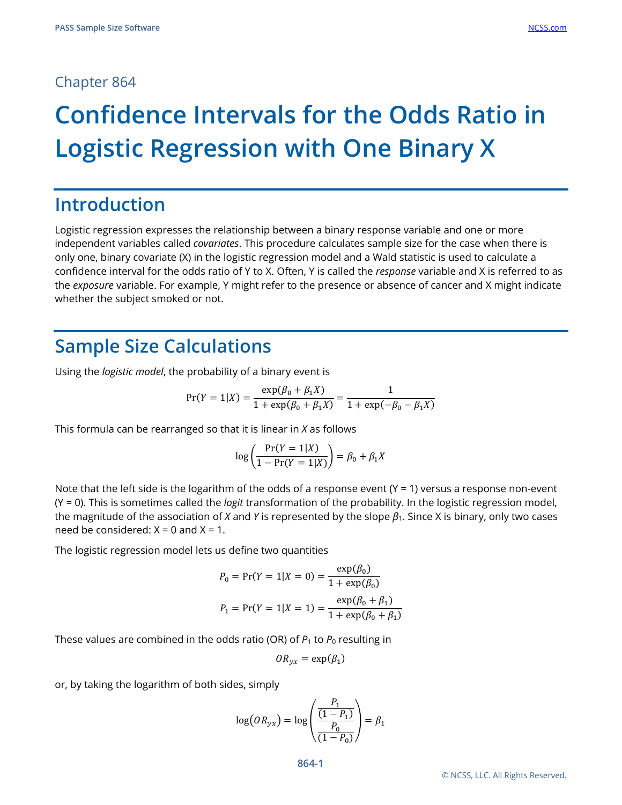### Chapter 864

# **Confidence Intervals for the Odds Ratio in Logistic Regression with One Binary X**

# **Introduction**

Logistic regression expresses the relationship between a binary response variable and one or more independent variables called *covariates*. This procedure calculates sample size for the case when there is only one, binary covariate (X) in the logistic regression model and a Wald statistic is used to calculate a confidence interval for the odds ratio of Y to X. Often, Y is called the *response* variable and X is referred to as the *exposure* variable. For example, Y might refer to the presence or absence of cancer and X might indicate whether the subject smoked or not.

# **Sample Size Calculations**

Using the *logistic model*, the probability of a binary event is

$$
Pr(Y = 1|X) = \frac{\exp(\beta_0 + \beta_1 X)}{1 + \exp(\beta_0 + \beta_1 X)} = \frac{1}{1 + \exp(-\beta_0 - \beta_1 X)}
$$

This formula can be rearranged so that it is linear in *X* as follows

$$
\log\left(\frac{\Pr(Y=1|X)}{1-\Pr(Y=1|X)}\right) = \beta_0 + \beta_1 X
$$

Note that the left side is the logarithm of the odds of a response event  $(Y = 1)$  versus a response non-event (Y = 0). This is sometimes called the *logit* transformation of the probability. In the logistic regression model, the magnitude of the association of *X* and *Y* is represented by the slope *β*1. Since X is binary, only two cases need be considered:  $X = 0$  and  $X = 1$ .

The logistic regression model lets us define two quantities

$$
P_0 = \Pr(Y = 1 | X = 0) = \frac{\exp(\beta_0)}{1 + \exp(\beta_0)}
$$
  

$$
P_1 = \Pr(Y = 1 | X = 1) = \frac{\exp(\beta_0 + \beta_1)}{1 + \exp(\beta_0 + \beta_1)}
$$

These values are combined in the odds ratio (OR) of  $P_1$  to  $P_0$  resulting in

$$
OR_{yx} = \exp(\beta_1)
$$

or, by taking the logarithm of both sides, simply

$$
\log(OR_{yx}) = \log\left(\frac{\frac{P_1}{(1 - P_1)}}{\frac{P_0}{(1 - P_0)}}\right) = \beta_1
$$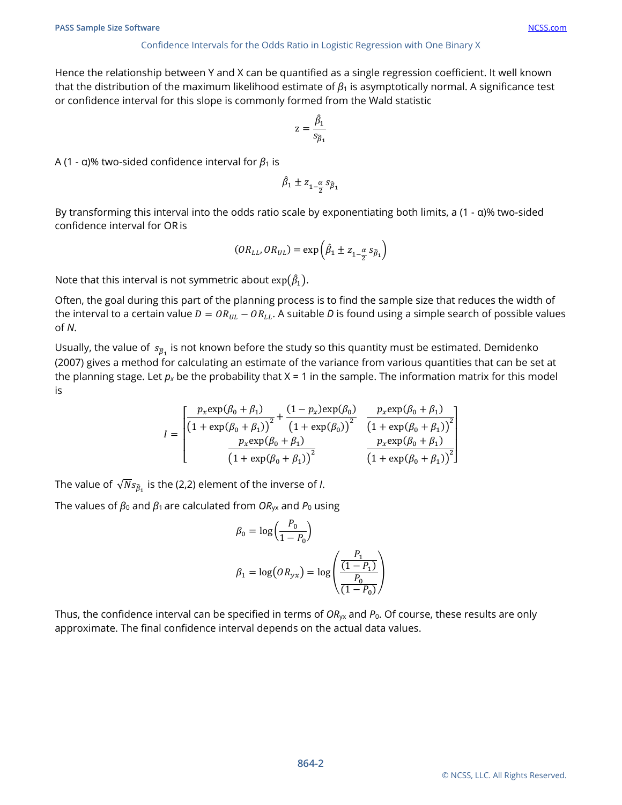#### Confidence Intervals for the Odds Ratio in Logistic Regression with One Binary X

Hence the relationship between Y and X can be quantified as a single regression coefficient. It well known that the distribution of the maximum likelihood estimate of *β*<sup>1</sup> is asymptotically normal. A significance test or confidence interval for this slope is commonly formed from the Wald statistic

$$
z = \frac{\hat{\beta}_1}{s_{\hat{\beta}_1}}
$$

A (1 - α)% two-sided confidence interval for  $β_1$  is

$$
\hat{\beta}_1 \pm z_{1-\frac{\alpha}{2}} s_{\hat{\beta}_1}
$$

By transforming this interval into the odds ratio scale by exponentiating both limits, a (1 - α)% two-sided confidence interval for OR is

$$
(OR_{LL}, OR_{UL}) = \exp\left(\hat{\beta}_1 \pm z_{1-\frac{\alpha}{2}} s_{\hat{\beta}_1}\right)
$$

Note that this interval is not symmetric about  $\exp(\hat{\beta}_1).$ 

Often, the goal during this part of the planning process is to find the sample size that reduces the width of the interval to a certain value  $D = OR_{UL} - OR_{LL}$ . A suitable *D* is found using a simple search of possible values of *N*.

Usually, the value of  $s_{\hat{B}_1}$  is not known before the study so this quantity must be estimated. Demidenko (2007) gives a method for calculating an estimate of the variance from various quantities that can be set at the planning stage. Let  $p_x$  be the probability that  $X = 1$  in the sample. The information matrix for this model is

$$
I = \begin{bmatrix} \frac{p_x \exp(\beta_0 + \beta_1)}{(1 + \exp(\beta_0 + \beta_1))^{2}} + \frac{(1 - p_x) \exp(\beta_0)}{(1 + \exp(\beta_0))^{2}} & \frac{p_x \exp(\beta_0 + \beta_1)}{(1 + \exp(\beta_0 + \beta_1))^{2}}\\ \frac{p_x \exp(\beta_0 + \beta_1)}{(1 + \exp(\beta_0 + \beta_1))^{2}} & \frac{p_x \exp(\beta_0 + \beta_1)}{(1 + \exp(\beta_0 + \beta_1))^{2}} \end{bmatrix}
$$

The value of  $\sqrt{N} s_{\hat{B}_1}$  is the (2,2) element of the inverse of *I*.

The values of  $\beta_0$  and  $\beta_1$  are calculated from  $OR_{yx}$  and  $P_0$  using

$$
\beta_0 = \log\left(\frac{P_0}{1 - P_0}\right)
$$
  

$$
\beta_1 = \log\left(\frac{P_1}{P_0}\right)
$$
  

$$
\beta_2 = \log\left(\frac{P_1}{P_0}\right)
$$

Thus, the confidence interval can be specified in terms of *OR*yx and *P*0. Of course, these results are only approximate. The final confidence interval depends on the actual data values.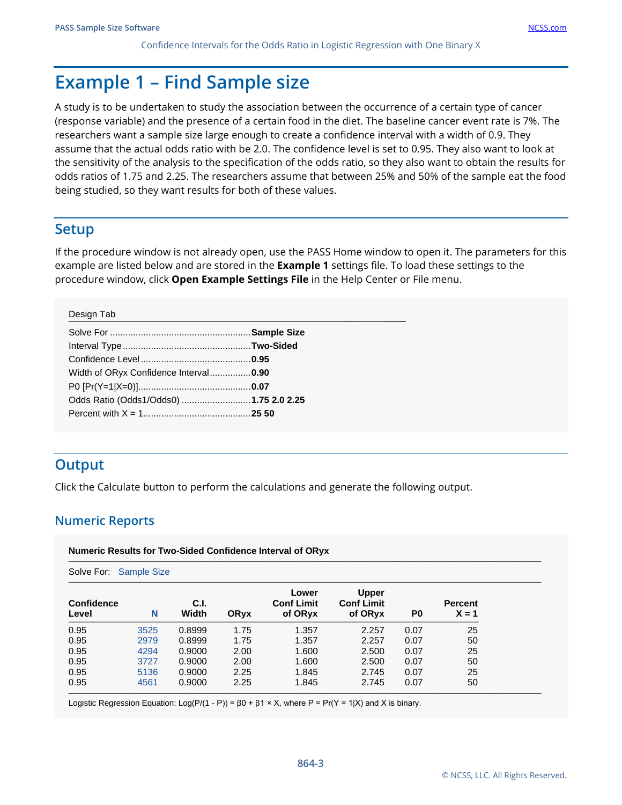# **Example 1 – Find Sample size**

A study is to be undertaken to study the association between the occurrence of a certain type of cancer (response variable) and the presence of a certain food in the diet. The baseline cancer event rate is 7%. The researchers want a sample size large enough to create a confidence interval with a width of 0.9. They assume that the actual odds ratio with be 2.0. The confidence level is set to 0.95. They also want to look at the sensitivity of the analysis to the specification of the odds ratio, so they also want to obtain the results for odds ratios of 1.75 and 2.25. The researchers assume that between 25% and 50% of the sample eat the food being studied, so they want results for both of these values.

# **Setup**

If the procedure window is not already open, use the PASS Home window to open it. The parameters for this example are listed below and are stored in the **Example 1** settings file. To load these settings to the procedure window, click **Open Example Settings File** in the Help Center or File menu.

#### Design Tab

| Width of ORyx Confidence Interval0.90  |  |
|----------------------------------------|--|
|                                        |  |
| Odds Ratio (Odds1/Odds0) 1.75 2.0 2.25 |  |
|                                        |  |
|                                        |  |

## **Output**

Click the Calculate button to perform the calculations and generate the following output.

### **Numeric Reports**

| Solve For: Sample Size |      |               |      |                                       |                                              |      |                           |
|------------------------|------|---------------|------|---------------------------------------|----------------------------------------------|------|---------------------------|
| Confidence<br>Level    | N    | C.I.<br>Width | ORyx | Lower<br><b>Conf Limit</b><br>of ORyx | <b>Upper</b><br><b>Conf Limit</b><br>of ORyx | P0   | <b>Percent</b><br>$X = 1$ |
| 0.95                   | 3525 | 0.8999        | 1.75 | 1.357                                 | 2.257                                        | 0.07 | 25                        |
| 0.95                   | 2979 | 0.8999        | 1.75 | 1.357                                 | 2.257                                        | 0.07 | 50                        |
| 0.95                   | 4294 | 0.9000        | 2.00 | 1.600                                 | 2.500                                        | 0.07 | 25                        |
| 0.95                   | 3727 | 0.9000        | 2.00 | 1.600                                 | 2.500                                        | 0.07 | 50                        |
| 0.95                   | 5136 | 0.9000        | 2.25 | 1.845                                 | 2.745                                        | 0.07 | 25                        |
| 0.95                   | 4561 | 0.9000        | 2.25 | 1.845                                 | 2.745                                        | 0.07 | 50                        |

Logistic Regression Equation: Log(P/(1 - P)) =  $β0 + β1 × X$ , where P = Pr(Y = 1|X) and X is binary.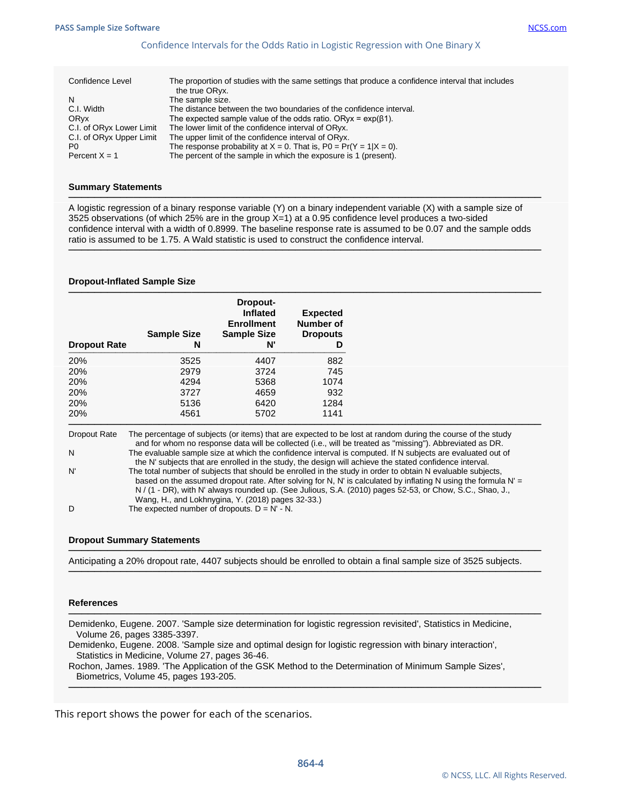#### Confidence Intervals for the Odds Ratio in Logistic Regression with One Binary X

| Confidence Level         | The proportion of studies with the same settings that produce a confidence interval that includes<br>the true ORyx. |
|--------------------------|---------------------------------------------------------------------------------------------------------------------|
| N                        | The sample size.                                                                                                    |
| C.I. Width               | The distance between the two boundaries of the confidence interval.                                                 |
| ORyx                     | The expected sample value of the odds ratio. ORyx = $exp(\beta 1)$ .                                                |
| C.I. of ORyx Lower Limit | The lower limit of the confidence interval of ORyx.                                                                 |
| C.I. of ORyx Upper Limit | The upper limit of the confidence interval of ORyx.                                                                 |
| P0                       | The response probability at $X = 0$ . That is, $P0 = Pr(Y = 1   X = 0)$ .                                           |
| Percent $X = 1$          | The percent of the sample in which the exposure is 1 (present).                                                     |

#### **Summary Statements**

A logistic regression of a binary response variable (Y) on a binary independent variable (X) with a sample size of 3525 observations (of which 25% are in the group X=1) at a 0.95 confidence level produces a two-sided confidence interval with a width of 0.8999. The baseline response rate is assumed to be 0.07 and the sample odds ratio is assumed to be 1.75. A Wald statistic is used to construct the confidence interval.

─────────────────────────────────────────────────────────────────────────

─────────────────────────────────────────────────────────────────────────

#### **Dropout-Inflated Sample Size**

| <b>Sample Size</b><br>N | Dropout-<br>Inflated<br><b>Enrollment</b><br><b>Sample Size</b><br>N' | <b>Expected</b><br>Number of<br><b>Dropouts</b><br>D |
|-------------------------|-----------------------------------------------------------------------|------------------------------------------------------|
| 3525                    | 4407                                                                  | 882                                                  |
| 2979                    | 3724                                                                  | 745                                                  |
| 4294                    | 5368                                                                  | 1074                                                 |
| 3727                    | 4659                                                                  | 932                                                  |
| 5136                    | 6420                                                                  | 1284                                                 |
| 4561                    | 5702                                                                  | 1141                                                 |
|                         |                                                                       |                                                      |

Dropout Rate The percentage of subjects (or items) that are expected to be lost at random during the course of the study and for whom no response data will be collected (i.e., will be treated as "missing"). Abbreviated as DR. N The evaluable sample size at which the confidence interval is computed. If N subjects are evaluated out of the N' subjects that are enrolled in the study, the design will achieve the stated confidence interval. N' The total number of subjects that should be enrolled in the study in order to obtain N evaluable subjects, based on the assumed dropout rate. After solving for N, N' is calculated by inflating N using the formula N' = N / (1 - DR), with N' always rounded up. (See Julious, S.A. (2010) pages 52-53, or Chow, S.C., Shao, J., Wang, H., and Lokhnygina, Y. (2018) pages 32-33.)

D The expected number of dropouts.  $D = N' - N$ .

#### **Dropout Summary Statements**

───────────────────────────────────────────────────────────────────────── Anticipating a 20% dropout rate, 4407 subjects should be enrolled to obtain a final sample size of 3525 subjects.

─────────────────────────────────────────────────────────────────────────

─────────────────────────────────────────────────────────────────────────

─────────────────────────────────────────────────────────────────────────

#### **References**

Demidenko, Eugene. 2007. 'Sample size determination for logistic regression revisited', Statistics in Medicine, Volume 26, pages 3385-3397.

Demidenko, Eugene. 2008. 'Sample size and optimal design for logistic regression with binary interaction', Statistics in Medicine, Volume 27, pages 36-46.

Rochon, James. 1989. 'The Application of the GSK Method to the Determination of Minimum Sample Sizes', Biometrics, Volume 45, pages 193-205.

This report shows the power for each of the scenarios.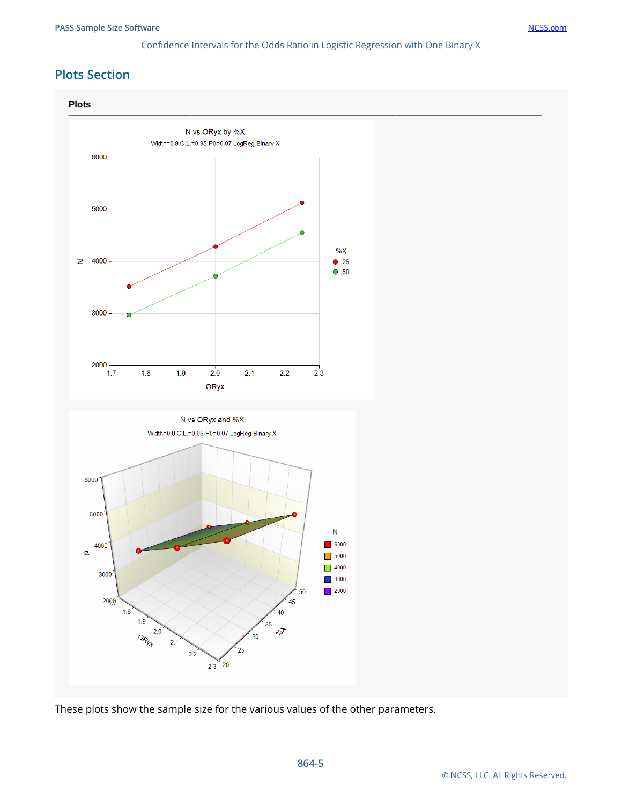# **Plots Section**



These plots show the sample size for the various values of the other parameters.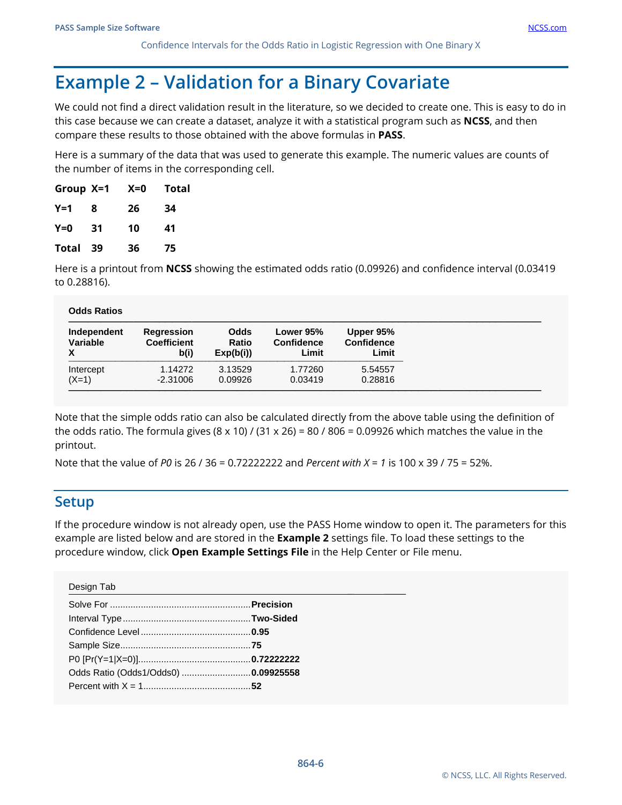Confidence Intervals for the Odds Ratio in Logistic Regression with One Binary X

# **Example 2 – Validation for a Binary Covariate**

We could not find a direct validation result in the literature, so we decided to create one. This is easy to do in this case because we can create a dataset, analyze it with a statistical program such as **NCSS**, and then compare these results to those obtained with the above formulas in **PASS**.

Here is a summary of the data that was used to generate this example. The numeric values are counts of the number of items in the corresponding cell.

| Group X=1 |     | $X=0$ | <b>Total</b> |
|-----------|-----|-------|--------------|
| Y=1       | 8   | 26    | 34           |
| $Y=0$     | 31  | 10    | 41           |
| Total     | -39 | 36    | 75           |

Here is a printout from **NCSS** showing the estimated odds ratio (0.09926) and confidence interval (0.03419 to 0.28816).

| Independent | Regression         | <b>Odds</b>  | Lower 95%         | Upper 95%         |
|-------------|--------------------|--------------|-------------------|-------------------|
| Variable    | <b>Coefficient</b> | <b>Ratio</b> | <b>Confidence</b> | <b>Confidence</b> |
| X           | b(i)               | Exp(b(i))    | Limit             | Limit             |
| Intercept   | 1.14272            | 3.13529      | 1.77260           | 5.54557           |
| $(X=1)$     | $-2.31006$         | 0.09926      | 0.03419           | 0.28816           |

Note that the simple odds ratio can also be calculated directly from the above table using the definition of the odds ratio. The formula gives  $(8 \times 10)$  /  $(31 \times 26) = 80$  / 806 = 0.09926 which matches the value in the printout.

Note that the value of *P0* is 26 / 36 = 0.72222222 and *Percent with X = 1* is 100 x 39 / 75 = 52%.

### **Setup**

If the procedure window is not already open, use the PASS Home window to open it. The parameters for this example are listed below and are stored in the **Example 2** settings file. To load these settings to the procedure window, click **Open Example Settings File** in the Help Center or File menu.